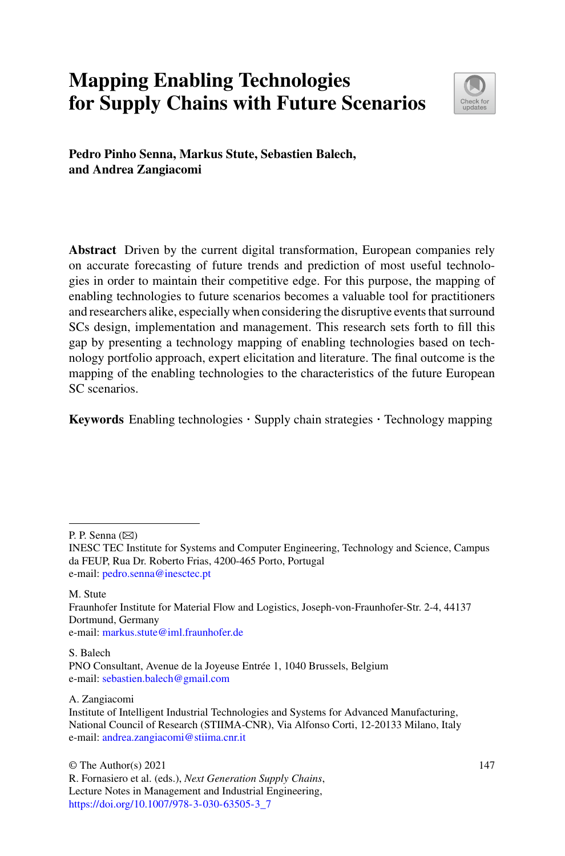# **Mapping Enabling Technologies for Supply Chains with Future Scenarios**



**Pedro Pinho Senna, Markus Stute, Sebastien Balech, and Andrea Zangiacomi**

**Abstract** Driven by the current digital transformation, European companies rely on accurate forecasting of future trends and prediction of most useful technologies in order to maintain their competitive edge. For this purpose, the mapping of enabling technologies to future scenarios becomes a valuable tool for practitioners and researchers alike, especially when considering the disruptive events that surround SCs design, implementation and management. This research sets forth to fill this gap by presenting a technology mapping of enabling technologies based on technology portfolio approach, expert elicitation and literature. The final outcome is the mapping of the enabling technologies to the characteristics of the future European SC scenarios.

**Keywords** Enabling technologies · Supply chain strategies · Technology mapping

P. P. Senna  $(\boxtimes)$ 

M. Stute Fraunhofer Institute for Material Flow and Logistics, Joseph-von-Fraunhofer-Str. 2-4, 44137 Dortmund, Germany e-mail: [markus.stute@iml.fraunhofer.de](mailto:markus.stute@iml.fraunhofer.de)

S. Balech PNO Consultant, Avenue de la Joyeuse Entrée 1, 1040 Brussels, Belgium e-mail: [sebastien.balech@gmail.com](mailto:sebastien.balech@gmail.com)

A. Zangiacomi Institute of Intelligent Industrial Technologies and Systems for Advanced Manufacturing, National Council of Research (STIIMA-CNR), Via Alfonso Corti, 12-20133 Milano, Italy e-mail: [andrea.zangiacomi@stiima.cnr.it](mailto:andrea.zangiacomi@stiima.cnr.it)

© The Author(s) 2021 R. Fornasiero et al. (eds.), *Next Generation Supply Chains*, Lecture Notes in Management and Industrial Engineering, [https://doi.org/10.1007/978-3-030-63505-3\\_7](https://doi.org/10.1007/978-3-030-63505-3_7)

INESC TEC Institute for Systems and Computer Engineering, Technology and Science, Campus da FEUP, Rua Dr. Roberto Frias, 4200-465 Porto, Portugal e-mail: [pedro.senna@inesctec.pt](mailto:pedro.senna@inesctec.pt)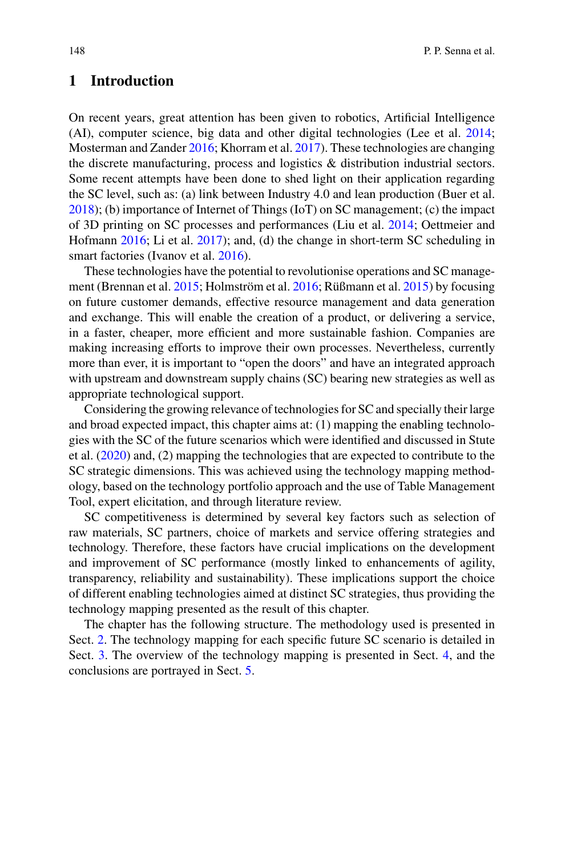### **1 Introduction**

On recent years, great attention has been given to robotics, Artificial Intelligence (AI), computer science, big data and other digital technologies (Lee et al. [2014;](#page-17-0) Mosterman and Zander [2016;](#page-17-1) Khorram et al. [2017\)](#page-17-2). These technologies are changing the discrete manufacturing, process and logistics & distribution industrial sectors. Some recent attempts have been done to shed light on their application regarding the SC level, such as: (a) link between Industry 4.0 and lean production (Buer et al. [2018\)](#page-17-3); (b) importance of Internet of Things (IoT) on SC management; (c) the impact of 3D printing on SC processes and performances (Liu et al. [2014;](#page-17-4) Oettmeier and Hofmann [2016;](#page-18-0) Li et al. [2017\)](#page-17-5); and, (d) the change in short-term SC scheduling in smart factories (Ivanov et al. [2016\)](#page-17-6).

These technologies have the potential to revolutionise operations and SC management (Brennan et al. [2015;](#page-17-7) Holmström et al. [2016;](#page-17-8) Rüßmann et al. [2015\)](#page-18-1) by focusing on future customer demands, effective resource management and data generation and exchange. This will enable the creation of a product, or delivering a service, in a faster, cheaper, more efficient and more sustainable fashion. Companies are making increasing efforts to improve their own processes. Nevertheless, currently more than ever, it is important to "open the doors" and have an integrated approach with upstream and downstream supply chains (SC) bearing new strategies as well as appropriate technological support.

Considering the growing relevance of technologies for SC and specially their large and broad expected impact, this chapter aims at: (1) mapping the enabling technologies with the SC of the future scenarios which were identified and discussed in Stute et al. [\(2020\)](#page-18-2) and, (2) mapping the technologies that are expected to contribute to the SC strategic dimensions. This was achieved using the technology mapping methodology, based on the technology portfolio approach and the use of Table Management Tool, expert elicitation, and through literature review.

SC competitiveness is determined by several key factors such as selection of raw materials, SC partners, choice of markets and service offering strategies and technology. Therefore, these factors have crucial implications on the development and improvement of SC performance (mostly linked to enhancements of agility, transparency, reliability and sustainability). These implications support the choice of different enabling technologies aimed at distinct SC strategies, thus providing the technology mapping presented as the result of this chapter.

The chapter has the following structure. The methodology used is presented in Sect. [2.](#page-2-0) The technology mapping for each specific future SC scenario is detailed in Sect. [3.](#page-3-0) The overview of the technology mapping is presented in Sect. [4,](#page-5-0) and the conclusions are portrayed in Sect. [5.](#page-15-0)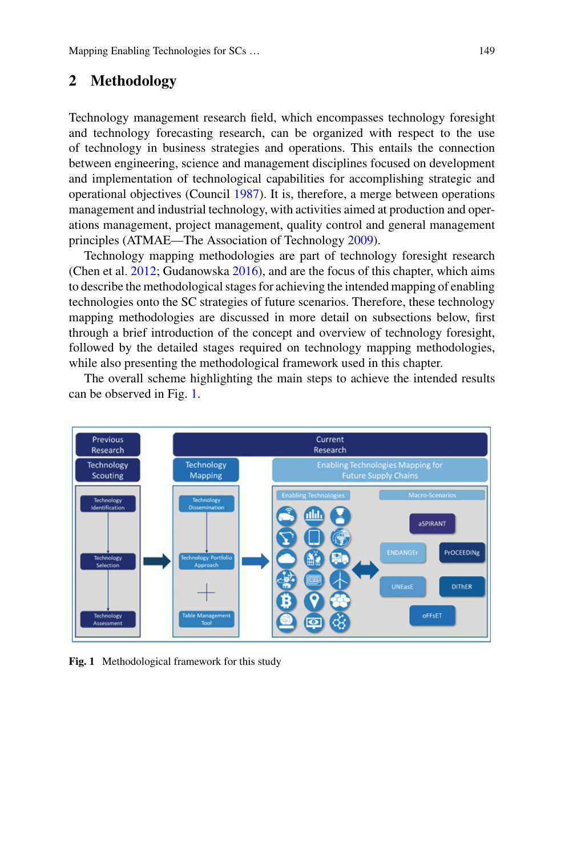#### <span id="page-2-0"></span>**2 Methodology**

Technology management research field, which encompasses technology foresight and technology forecasting research, can be organized with respect to the use of technology in business strategies and operations. This entails the connection between engineering, science and management disciplines focused on development and implementation of technological capabilities for accomplishing strategic and operational objectives (Council [1987\)](#page-17-9). It is, therefore, a merge between operations management and industrial technology, with activities aimed at production and operations management, project management, quality control and general management principles (ATMAE—The Association of Technology [2009\)](#page-16-0).

Technology mapping methodologies are part of technology foresight research (Chen et al. [2012;](#page-17-10) Gudanowska [2016\)](#page-17-11), and are the focus of this chapter, which aims to describe the methodological stages for achieving the intended mapping of enabling technologies onto the SC strategies of future scenarios. Therefore, these technology mapping methodologies are discussed in more detail on subsections below, first through a brief introduction of the concept and overview of technology foresight, followed by the detailed stages required on technology mapping methodologies, while also presenting the methodological framework used in this chapter.

The overall scheme highlighting the main steps to achieve the intended results can be observed in Fig. [1.](#page-2-1)



<span id="page-2-1"></span>**Fig. 1** Methodological framework for this study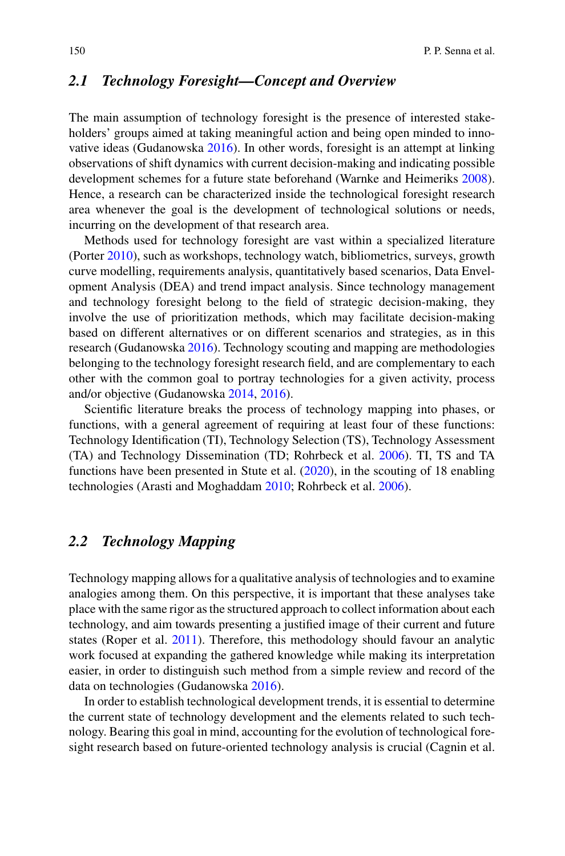### <span id="page-3-0"></span>*2.1 Technology Foresight—Concept and Overview*

The main assumption of technology foresight is the presence of interested stakeholders' groups aimed at taking meaningful action and being open minded to innovative ideas (Gudanowska [2016\)](#page-17-11). In other words, foresight is an attempt at linking observations of shift dynamics with current decision-making and indicating possible development schemes for a future state beforehand (Warnke and Heimeriks [2008\)](#page-18-3). Hence, a research can be characterized inside the technological foresight research area whenever the goal is the development of technological solutions or needs, incurring on the development of that research area.

Methods used for technology foresight are vast within a specialized literature (Porter [2010\)](#page-18-4), such as workshops, technology watch, bibliometrics, surveys, growth curve modelling, requirements analysis, quantitatively based scenarios, Data Envelopment Analysis (DEA) and trend impact analysis. Since technology management and technology foresight belong to the field of strategic decision-making, they involve the use of prioritization methods, which may facilitate decision-making based on different alternatives or on different scenarios and strategies, as in this research (Gudanowska [2016\)](#page-17-11). Technology scouting and mapping are methodologies belonging to the technology foresight research field, and are complementary to each other with the common goal to portray technologies for a given activity, process and/or objective (Gudanowska [2014,](#page-17-12) [2016\)](#page-17-11).

Scientific literature breaks the process of technology mapping into phases, or functions, with a general agreement of requiring at least four of these functions: Technology Identification (TI), Technology Selection (TS), Technology Assessment (TA) and Technology Dissemination (TD; Rohrbeck et al. [2006\)](#page-18-5). TI, TS and TA functions have been presented in Stute et al. [\(2020\)](#page-18-2), in the scouting of 18 enabling technologies (Arasti and Moghaddam [2010;](#page-16-1) Rohrbeck et al. [2006\)](#page-18-5).

## *2.2 Technology Mapping*

Technology mapping allows for a qualitative analysis of technologies and to examine analogies among them. On this perspective, it is important that these analyses take place with the same rigor as the structured approach to collect information about each technology, and aim towards presenting a justified image of their current and future states (Roper et al. [2011\)](#page-18-6). Therefore, this methodology should favour an analytic work focused at expanding the gathered knowledge while making its interpretation easier, in order to distinguish such method from a simple review and record of the data on technologies (Gudanowska [2016\)](#page-17-11).

In order to establish technological development trends, it is essential to determine the current state of technology development and the elements related to such technology. Bearing this goal in mind, accounting for the evolution of technological foresight research based on future-oriented technology analysis is crucial (Cagnin et al.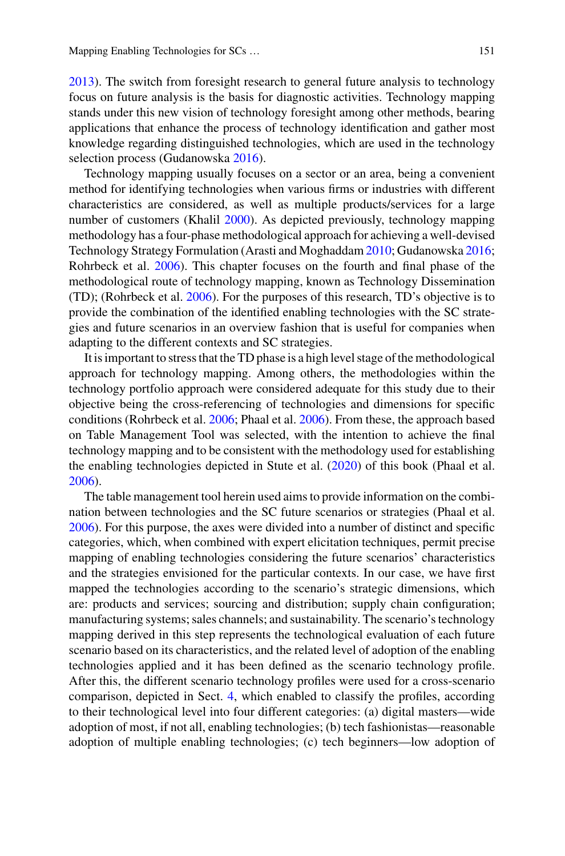[2013\)](#page-17-13). The switch from foresight research to general future analysis to technology focus on future analysis is the basis for diagnostic activities. Technology mapping stands under this new vision of technology foresight among other methods, bearing applications that enhance the process of technology identification and gather most knowledge regarding distinguished technologies, which are used in the technology selection process (Gudanowska [2016\)](#page-17-11).

Technology mapping usually focuses on a sector or an area, being a convenient method for identifying technologies when various firms or industries with different characteristics are considered, as well as multiple products/services for a large number of customers (Khalil [2000\)](#page-17-14). As depicted previously, technology mapping methodology has a four-phase methodological approach for achieving a well-devised Technology Strategy Formulation (Arasti and Moghaddam [2010;](#page-16-1) Gudanowska [2016;](#page-17-11) Rohrbeck et al. [2006\)](#page-18-5). This chapter focuses on the fourth and final phase of the methodological route of technology mapping, known as Technology Dissemination (TD); (Rohrbeck et al. [2006\)](#page-18-5). For the purposes of this research, TD's objective is to provide the combination of the identified enabling technologies with the SC strategies and future scenarios in an overview fashion that is useful for companies when adapting to the different contexts and SC strategies.

It is important to stress that the TD phase is a high level stage of the methodological approach for technology mapping. Among others, the methodologies within the technology portfolio approach were considered adequate for this study due to their objective being the cross-referencing of technologies and dimensions for specific conditions (Rohrbeck et al. [2006;](#page-18-5) Phaal et al. [2006\)](#page-18-7). From these, the approach based on Table Management Tool was selected, with the intention to achieve the final technology mapping and to be consistent with the methodology used for establishing the enabling technologies depicted in Stute et al. [\(2020\)](#page-18-2) of this book (Phaal et al. [2006\)](#page-18-7).

The table management tool herein used aims to provide information on the combination between technologies and the SC future scenarios or strategies (Phaal et al. [2006\)](#page-18-7). For this purpose, the axes were divided into a number of distinct and specific categories, which, when combined with expert elicitation techniques, permit precise mapping of enabling technologies considering the future scenarios' characteristics and the strategies envisioned for the particular contexts. In our case, we have first mapped the technologies according to the scenario's strategic dimensions, which are: products and services; sourcing and distribution; supply chain configuration; manufacturing systems; sales channels; and sustainability. The scenario's technology mapping derived in this step represents the technological evaluation of each future scenario based on its characteristics, and the related level of adoption of the enabling technologies applied and it has been defined as the scenario technology profile. After this, the different scenario technology profiles were used for a cross-scenario comparison, depicted in Sect. [4,](#page-5-0) which enabled to classify the profiles, according to their technological level into four different categories: (a) digital masters—wide adoption of most, if not all, enabling technologies; (b) tech fashionistas—reasonable adoption of multiple enabling technologies; (c) tech beginners—low adoption of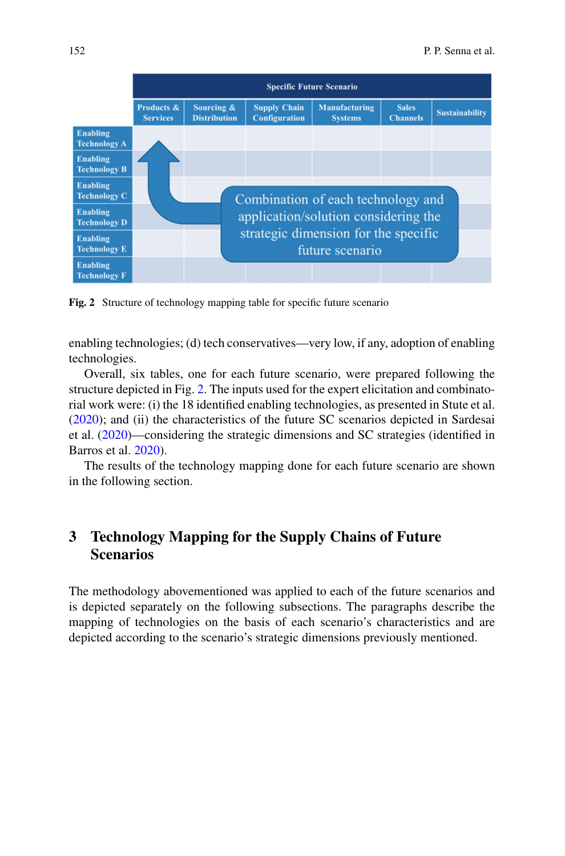

<span id="page-5-1"></span>**Fig. 2** Structure of technology mapping table for specific future scenario

enabling technologies; (d) tech conservatives—very low, if any, adoption of enabling technologies.

Overall, six tables, one for each future scenario, were prepared following the structure depicted in Fig. [2.](#page-5-1) The inputs used for the expert elicitation and combinatorial work were: (i) the 18 identified enabling technologies, as presented in Stute et al. [\(2020\)](#page-18-2); and (ii) the characteristics of the future SC scenarios depicted in Sardesai et al. [\(2020\)](#page-18-8)—considering the strategic dimensions and SC strategies (identified in Barros et al. [2020\)](#page-17-15).

The results of the technology mapping done for each future scenario are shown in the following section.

## <span id="page-5-0"></span>**3 Technology Mapping for the Supply Chains of Future Scenarios**

The methodology abovementioned was applied to each of the future scenarios and is depicted separately on the following subsections. The paragraphs describe the mapping of technologies on the basis of each scenario's characteristics and are depicted according to the scenario's strategic dimensions previously mentioned.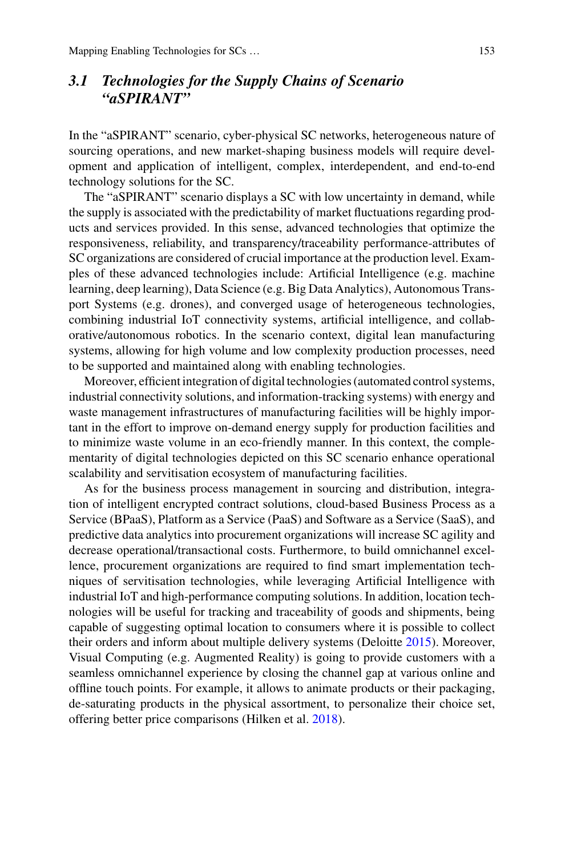# *3.1 Technologies for the Supply Chains of Scenario "aSPIRANT"*

In the "aSPIRANT" scenario, cyber-physical SC networks, heterogeneous nature of sourcing operations, and new market-shaping business models will require development and application of intelligent, complex, interdependent, and end-to-end technology solutions for the SC.

The "aSPIRANT" scenario displays a SC with low uncertainty in demand, while the supply is associated with the predictability of market fluctuations regarding products and services provided. In this sense, advanced technologies that optimize the responsiveness, reliability, and transparency/traceability performance-attributes of SC organizations are considered of crucial importance at the production level. Examples of these advanced technologies include: Artificial Intelligence (e.g. machine learning, deep learning), Data Science (e.g. Big Data Analytics), Autonomous Transport Systems (e.g. drones), and converged usage of heterogeneous technologies, combining industrial IoT connectivity systems, artificial intelligence, and collaborative/autonomous robotics. In the scenario context, digital lean manufacturing systems, allowing for high volume and low complexity production processes, need to be supported and maintained along with enabling technologies.

Moreover, efficient integration of digital technologies (automated control systems, industrial connectivity solutions, and information-tracking systems) with energy and waste management infrastructures of manufacturing facilities will be highly important in the effort to improve on-demand energy supply for production facilities and to minimize waste volume in an eco-friendly manner. In this context, the complementarity of digital technologies depicted on this SC scenario enhance operational scalability and servitisation ecosystem of manufacturing facilities.

As for the business process management in sourcing and distribution, integration of intelligent encrypted contract solutions, cloud-based Business Process as a Service (BPaaS), Platform as a Service (PaaS) and Software as a Service (SaaS), and predictive data analytics into procurement organizations will increase SC agility and decrease operational/transactional costs. Furthermore, to build omnichannel excellence, procurement organizations are required to find smart implementation techniques of servitisation technologies, while leveraging Artificial Intelligence with industrial IoT and high-performance computing solutions. In addition, location technologies will be useful for tracking and traceability of goods and shipments, being capable of suggesting optimal location to consumers where it is possible to collect their orders and inform about multiple delivery systems (Deloitte [2015\)](#page-17-16). Moreover, Visual Computing (e.g. Augmented Reality) is going to provide customers with a seamless omnichannel experience by closing the channel gap at various online and offline touch points. For example, it allows to animate products or their packaging, de-saturating products in the physical assortment, to personalize their choice set, offering better price comparisons (Hilken et al. [2018\)](#page-17-17).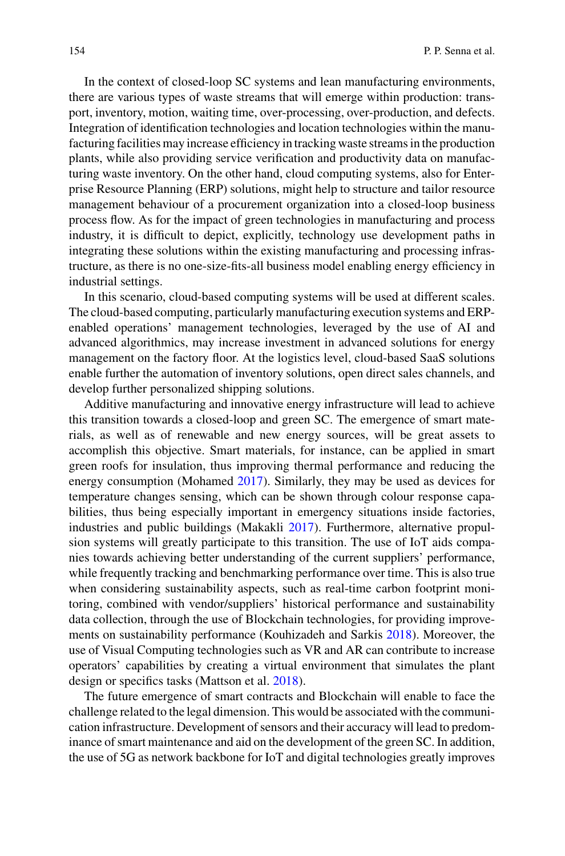In the context of closed-loop SC systems and lean manufacturing environments, there are various types of waste streams that will emerge within production: transport, inventory, motion, waiting time, over-processing, over-production, and defects. Integration of identification technologies and location technologies within the manufacturing facilities may increase efficiency in tracking waste streams in the production plants, while also providing service verification and productivity data on manufacturing waste inventory. On the other hand, cloud computing systems, also for Enterprise Resource Planning (ERP) solutions, might help to structure and tailor resource management behaviour of a procurement organization into a closed-loop business process flow. As for the impact of green technologies in manufacturing and process industry, it is difficult to depict, explicitly, technology use development paths in integrating these solutions within the existing manufacturing and processing infrastructure, as there is no one-size-fits-all business model enabling energy efficiency in industrial settings.

In this scenario, cloud-based computing systems will be used at different scales. The cloud-based computing, particularly manufacturing execution systems and ERPenabled operations' management technologies, leveraged by the use of AI and advanced algorithmics, may increase investment in advanced solutions for energy management on the factory floor. At the logistics level, cloud-based SaaS solutions enable further the automation of inventory solutions, open direct sales channels, and develop further personalized shipping solutions.

Additive manufacturing and innovative energy infrastructure will lead to achieve this transition towards a closed-loop and green SC. The emergence of smart materials, as well as of renewable and new energy sources, will be great assets to accomplish this objective. Smart materials, for instance, can be applied in smart green roofs for insulation, thus improving thermal performance and reducing the energy consumption (Mohamed [2017\)](#page-17-18). Similarly, they may be used as devices for temperature changes sensing, which can be shown through colour response capabilities, thus being especially important in emergency situations inside factories, industries and public buildings (Makakli [2017\)](#page-17-19). Furthermore, alternative propulsion systems will greatly participate to this transition. The use of IoT aids companies towards achieving better understanding of the current suppliers' performance, while frequently tracking and benchmarking performance over time. This is also true when considering sustainability aspects, such as real-time carbon footprint monitoring, combined with vendor/suppliers' historical performance and sustainability data collection, through the use of Blockchain technologies, for providing improvements on sustainability performance (Kouhizadeh and Sarkis [2018\)](#page-17-20). Moreover, the use of Visual Computing technologies such as VR and AR can contribute to increase operators' capabilities by creating a virtual environment that simulates the plant design or specifics tasks (Mattson et al. [2018\)](#page-17-21).

The future emergence of smart contracts and Blockchain will enable to face the challenge related to the legal dimension. This would be associated with the communication infrastructure. Development of sensors and their accuracy will lead to predominance of smart maintenance and aid on the development of the green SC. In addition, the use of 5G as network backbone for IoT and digital technologies greatly improves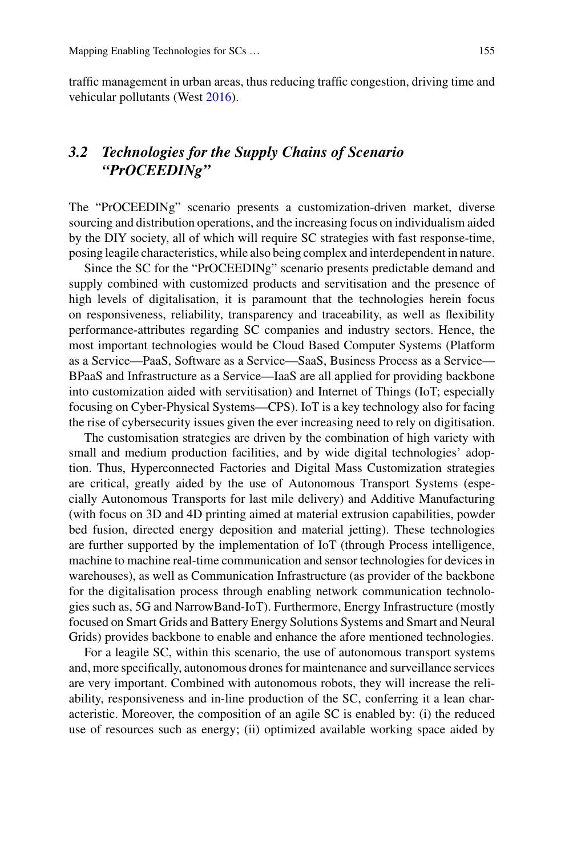traffic management in urban areas, thus reducing traffic congestion, driving time and vehicular pollutants (West [2016\)](#page-18-9).

# *3.2 Technologies for the Supply Chains of Scenario "PrOCEEDINg"*

The "PrOCEEDINg" scenario presents a customization-driven market, diverse sourcing and distribution operations, and the increasing focus on individualism aided by the DIY society, all of which will require SC strategies with fast response-time, posing leagile characteristics, while also being complex and interdependent in nature.

Since the SC for the "PrOCEEDINg" scenario presents predictable demand and supply combined with customized products and servitisation and the presence of high levels of digitalisation, it is paramount that the technologies herein focus on responsiveness, reliability, transparency and traceability, as well as flexibility performance-attributes regarding SC companies and industry sectors. Hence, the most important technologies would be Cloud Based Computer Systems (Platform as a Service—PaaS, Software as a Service—SaaS, Business Process as a Service— BPaaS and Infrastructure as a Service—IaaS are all applied for providing backbone into customization aided with servitisation) and Internet of Things (IoT; especially focusing on Cyber-Physical Systems—CPS). IoT is a key technology also for facing the rise of cybersecurity issues given the ever increasing need to rely on digitisation.

The customisation strategies are driven by the combination of high variety with small and medium production facilities, and by wide digital technologies' adoption. Thus, Hyperconnected Factories and Digital Mass Customization strategies are critical, greatly aided by the use of Autonomous Transport Systems (especially Autonomous Transports for last mile delivery) and Additive Manufacturing (with focus on 3D and 4D printing aimed at material extrusion capabilities, powder bed fusion, directed energy deposition and material jetting). These technologies are further supported by the implementation of IoT (through Process intelligence, machine to machine real-time communication and sensor technologies for devices in warehouses), as well as Communication Infrastructure (as provider of the backbone for the digitalisation process through enabling network communication technologies such as, 5G and NarrowBand-IoT). Furthermore, Energy Infrastructure (mostly focused on Smart Grids and Battery Energy Solutions Systems and Smart and Neural Grids) provides backbone to enable and enhance the afore mentioned technologies.

For a leagile SC, within this scenario, the use of autonomous transport systems and, more specifically, autonomous drones for maintenance and surveillance services are very important. Combined with autonomous robots, they will increase the reliability, responsiveness and in-line production of the SC, conferring it a lean characteristic. Moreover, the composition of an agile SC is enabled by: (i) the reduced use of resources such as energy; (ii) optimized available working space aided by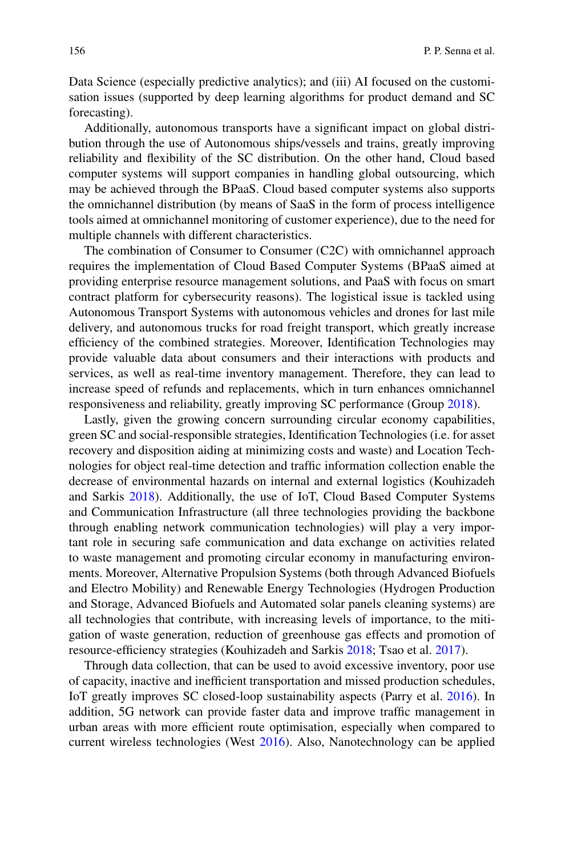Data Science (especially predictive analytics); and (iii) AI focused on the customisation issues (supported by deep learning algorithms for product demand and SC forecasting).

Additionally, autonomous transports have a significant impact on global distribution through the use of Autonomous ships/vessels and trains, greatly improving reliability and flexibility of the SC distribution. On the other hand, Cloud based computer systems will support companies in handling global outsourcing, which may be achieved through the BPaaS. Cloud based computer systems also supports the omnichannel distribution (by means of SaaS in the form of process intelligence tools aimed at omnichannel monitoring of customer experience), due to the need for multiple channels with different characteristics.

The combination of Consumer to Consumer (C2C) with omnichannel approach requires the implementation of Cloud Based Computer Systems (BPaaS aimed at providing enterprise resource management solutions, and PaaS with focus on smart contract platform for cybersecurity reasons). The logistical issue is tackled using Autonomous Transport Systems with autonomous vehicles and drones for last mile delivery, and autonomous trucks for road freight transport, which greatly increase efficiency of the combined strategies. Moreover, Identification Technologies may provide valuable data about consumers and their interactions with products and services, as well as real-time inventory management. Therefore, they can lead to increase speed of refunds and replacements, which in turn enhances omnichannel responsiveness and reliability, greatly improving SC performance (Group [2018\)](#page-17-22).

Lastly, given the growing concern surrounding circular economy capabilities, green SC and social-responsible strategies, Identification Technologies (i.e. for asset recovery and disposition aiding at minimizing costs and waste) and Location Technologies for object real-time detection and traffic information collection enable the decrease of environmental hazards on internal and external logistics (Kouhizadeh and Sarkis [2018\)](#page-17-20). Additionally, the use of IoT, Cloud Based Computer Systems and Communication Infrastructure (all three technologies providing the backbone through enabling network communication technologies) will play a very important role in securing safe communication and data exchange on activities related to waste management and promoting circular economy in manufacturing environments. Moreover, Alternative Propulsion Systems (both through Advanced Biofuels and Electro Mobility) and Renewable Energy Technologies (Hydrogen Production and Storage, Advanced Biofuels and Automated solar panels cleaning systems) are all technologies that contribute, with increasing levels of importance, to the mitigation of waste generation, reduction of greenhouse gas effects and promotion of resource-efficiency strategies (Kouhizadeh and Sarkis [2018;](#page-17-20) Tsao et al. [2017\)](#page-18-10).

Through data collection, that can be used to avoid excessive inventory, poor use of capacity, inactive and inefficient transportation and missed production schedules, IoT greatly improves SC closed-loop sustainability aspects (Parry et al. [2016\)](#page-18-11). In addition, 5G network can provide faster data and improve traffic management in urban areas with more efficient route optimisation, especially when compared to current wireless technologies (West [2016\)](#page-18-9). Also, Nanotechnology can be applied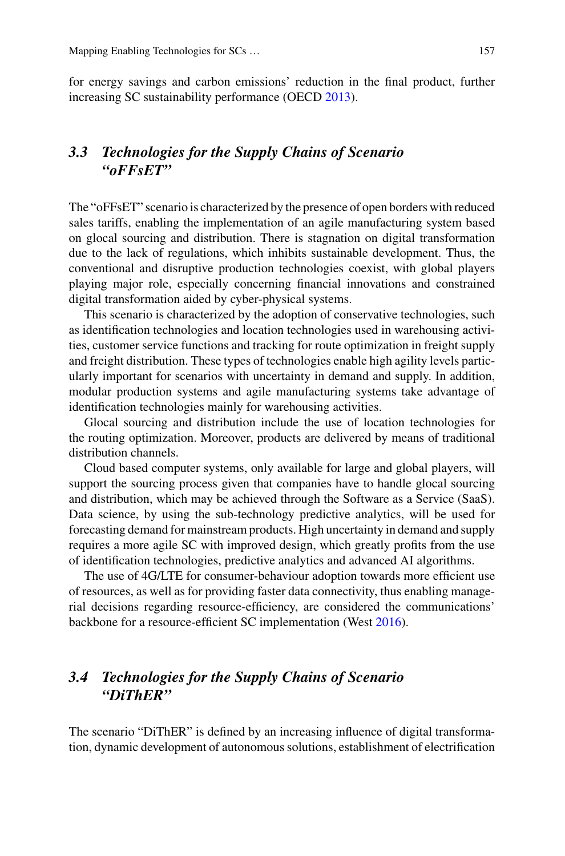for energy savings and carbon emissions' reduction in the final product, further increasing SC sustainability performance (OECD [2013\)](#page-18-12).

## *3.3 Technologies for the Supply Chains of Scenario "oFFsET"*

The "oFFsET" scenario is characterized by the presence of open borders with reduced sales tariffs, enabling the implementation of an agile manufacturing system based on glocal sourcing and distribution. There is stagnation on digital transformation due to the lack of regulations, which inhibits sustainable development. Thus, the conventional and disruptive production technologies coexist, with global players playing major role, especially concerning financial innovations and constrained digital transformation aided by cyber-physical systems.

This scenario is characterized by the adoption of conservative technologies, such as identification technologies and location technologies used in warehousing activities, customer service functions and tracking for route optimization in freight supply and freight distribution. These types of technologies enable high agility levels particularly important for scenarios with uncertainty in demand and supply. In addition, modular production systems and agile manufacturing systems take advantage of identification technologies mainly for warehousing activities.

Glocal sourcing and distribution include the use of location technologies for the routing optimization. Moreover, products are delivered by means of traditional distribution channels.

Cloud based computer systems, only available for large and global players, will support the sourcing process given that companies have to handle glocal sourcing and distribution, which may be achieved through the Software as a Service (SaaS). Data science, by using the sub-technology predictive analytics, will be used for forecasting demand for mainstream products. High uncertainty in demand and supply requires a more agile SC with improved design, which greatly profits from the use of identification technologies, predictive analytics and advanced AI algorithms.

The use of 4G/LTE for consumer-behaviour adoption towards more efficient use of resources, as well as for providing faster data connectivity, thus enabling managerial decisions regarding resource-efficiency, are considered the communications' backbone for a resource-efficient SC implementation (West [2016\)](#page-18-9).

## *3.4 Technologies for the Supply Chains of Scenario "DiThER"*

The scenario "DiThER" is defined by an increasing influence of digital transformation, dynamic development of autonomous solutions, establishment of electrification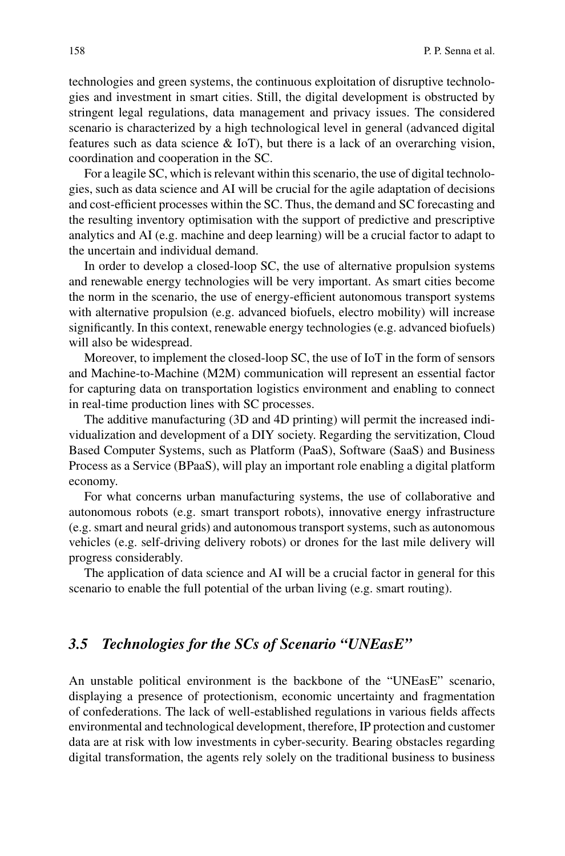technologies and green systems, the continuous exploitation of disruptive technologies and investment in smart cities. Still, the digital development is obstructed by stringent legal regulations, data management and privacy issues. The considered scenario is characterized by a high technological level in general (advanced digital features such as data science & IoT), but there is a lack of an overarching vision, coordination and cooperation in the SC.

For a leagile SC, which is relevant within this scenario, the use of digital technologies, such as data science and AI will be crucial for the agile adaptation of decisions and cost-efficient processes within the SC. Thus, the demand and SC forecasting and the resulting inventory optimisation with the support of predictive and prescriptive analytics and AI (e.g. machine and deep learning) will be a crucial factor to adapt to the uncertain and individual demand.

In order to develop a closed-loop SC, the use of alternative propulsion systems and renewable energy technologies will be very important. As smart cities become the norm in the scenario, the use of energy-efficient autonomous transport systems with alternative propulsion (e.g. advanced biofuels, electro mobility) will increase significantly. In this context, renewable energy technologies (e.g. advanced biofuels) will also be widespread.

Moreover, to implement the closed-loop SC, the use of IoT in the form of sensors and Machine-to-Machine (M2M) communication will represent an essential factor for capturing data on transportation logistics environment and enabling to connect in real-time production lines with SC processes.

The additive manufacturing (3D and 4D printing) will permit the increased individualization and development of a DIY society. Regarding the servitization, Cloud Based Computer Systems, such as Platform (PaaS), Software (SaaS) and Business Process as a Service (BPaaS), will play an important role enabling a digital platform economy.

For what concerns urban manufacturing systems, the use of collaborative and autonomous robots (e.g. smart transport robots), innovative energy infrastructure (e.g. smart and neural grids) and autonomous transport systems, such as autonomous vehicles (e.g. self-driving delivery robots) or drones for the last mile delivery will progress considerably.

The application of data science and AI will be a crucial factor in general for this scenario to enable the full potential of the urban living (e.g. smart routing).

#### *3.5 Technologies for the SCs of Scenario "UNEasE"*

An unstable political environment is the backbone of the "UNEasE" scenario, displaying a presence of protectionism, economic uncertainty and fragmentation of confederations. The lack of well-established regulations in various fields affects environmental and technological development, therefore, IP protection and customer data are at risk with low investments in cyber-security. Bearing obstacles regarding digital transformation, the agents rely solely on the traditional business to business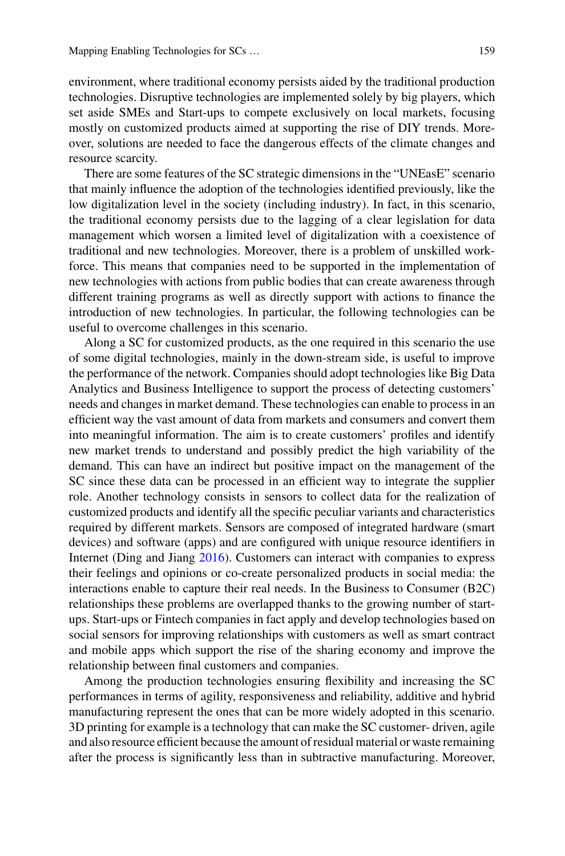environment, where traditional economy persists aided by the traditional production technologies. Disruptive technologies are implemented solely by big players, which set aside SMEs and Start-ups to compete exclusively on local markets, focusing mostly on customized products aimed at supporting the rise of DIY trends. Moreover, solutions are needed to face the dangerous effects of the climate changes and resource scarcity.

There are some features of the SC strategic dimensions in the "UNEasE" scenario that mainly influence the adoption of the technologies identified previously, like the low digitalization level in the society (including industry). In fact, in this scenario, the traditional economy persists due to the lagging of a clear legislation for data management which worsen a limited level of digitalization with a coexistence of traditional and new technologies. Moreover, there is a problem of unskilled workforce. This means that companies need to be supported in the implementation of new technologies with actions from public bodies that can create awareness through different training programs as well as directly support with actions to finance the introduction of new technologies. In particular, the following technologies can be useful to overcome challenges in this scenario.

Along a SC for customized products, as the one required in this scenario the use of some digital technologies, mainly in the down-stream side, is useful to improve the performance of the network. Companies should adopt technologies like Big Data Analytics and Business Intelligence to support the process of detecting customers' needs and changes in market demand. These technologies can enable to process in an efficient way the vast amount of data from markets and consumers and convert them into meaningful information. The aim is to create customers' profiles and identify new market trends to understand and possibly predict the high variability of the demand. This can have an indirect but positive impact on the management of the SC since these data can be processed in an efficient way to integrate the supplier role. Another technology consists in sensors to collect data for the realization of customized products and identify all the specific peculiar variants and characteristics required by different markets. Sensors are composed of integrated hardware (smart devices) and software (apps) and are configured with unique resource identifiers in Internet (Ding and Jiang [2016\)](#page-17-23). Customers can interact with companies to express their feelings and opinions or co-create personalized products in social media: the interactions enable to capture their real needs. In the Business to Consumer (B2C) relationships these problems are overlapped thanks to the growing number of startups. Start-ups or Fintech companies in fact apply and develop technologies based on social sensors for improving relationships with customers as well as smart contract and mobile apps which support the rise of the sharing economy and improve the relationship between final customers and companies.

Among the production technologies ensuring flexibility and increasing the SC performances in terms of agility, responsiveness and reliability, additive and hybrid manufacturing represent the ones that can be more widely adopted in this scenario. 3D printing for example is a technology that can make the SC customer- driven, agile and also resource efficient because the amount of residual material or waste remaining after the process is significantly less than in subtractive manufacturing. Moreover,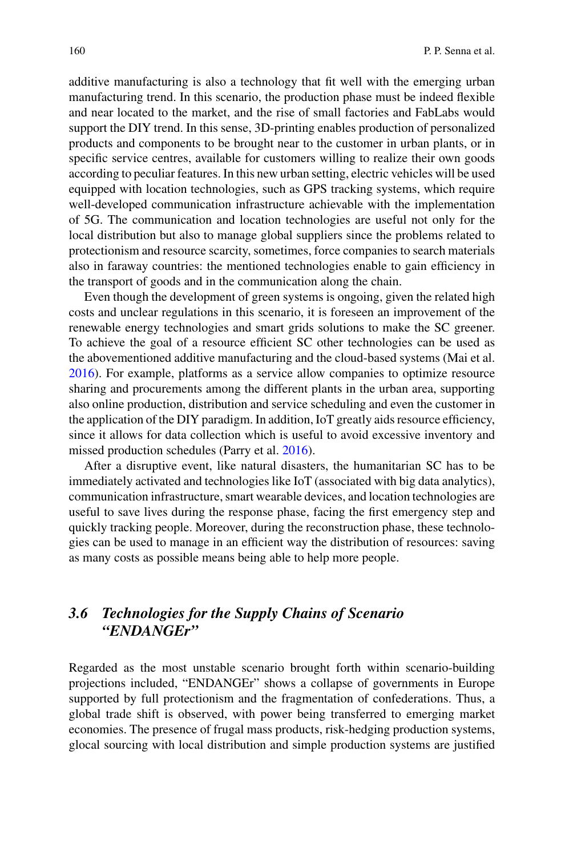additive manufacturing is also a technology that fit well with the emerging urban manufacturing trend. In this scenario, the production phase must be indeed flexible and near located to the market, and the rise of small factories and FabLabs would support the DIY trend. In this sense, 3D-printing enables production of personalized products and components to be brought near to the customer in urban plants, or in specific service centres, available for customers willing to realize their own goods according to peculiar features. In this new urban setting, electric vehicles will be used equipped with location technologies, such as GPS tracking systems, which require well-developed communication infrastructure achievable with the implementation of 5G. The communication and location technologies are useful not only for the local distribution but also to manage global suppliers since the problems related to protectionism and resource scarcity, sometimes, force companies to search materials also in faraway countries: the mentioned technologies enable to gain efficiency in the transport of goods and in the communication along the chain.

Even though the development of green systems is ongoing, given the related high costs and unclear regulations in this scenario, it is foreseen an improvement of the renewable energy technologies and smart grids solutions to make the SC greener. To achieve the goal of a resource efficient SC other technologies can be used as the abovementioned additive manufacturing and the cloud-based systems (Mai et al. [2016\)](#page-17-24). For example, platforms as a service allow companies to optimize resource sharing and procurements among the different plants in the urban area, supporting also online production, distribution and service scheduling and even the customer in the application of the DIY paradigm. In addition, IoT greatly aids resource efficiency, since it allows for data collection which is useful to avoid excessive inventory and missed production schedules (Parry et al. [2016\)](#page-18-11).

After a disruptive event, like natural disasters, the humanitarian SC has to be immediately activated and technologies like IoT (associated with big data analytics), communication infrastructure, smart wearable devices, and location technologies are useful to save lives during the response phase, facing the first emergency step and quickly tracking people. Moreover, during the reconstruction phase, these technologies can be used to manage in an efficient way the distribution of resources: saving as many costs as possible means being able to help more people.

## *3.6 Technologies for the Supply Chains of Scenario "ENDANGEr"*

Regarded as the most unstable scenario brought forth within scenario-building projections included, "ENDANGEr" shows a collapse of governments in Europe supported by full protectionism and the fragmentation of confederations. Thus, a global trade shift is observed, with power being transferred to emerging market economies. The presence of frugal mass products, risk-hedging production systems, glocal sourcing with local distribution and simple production systems are justified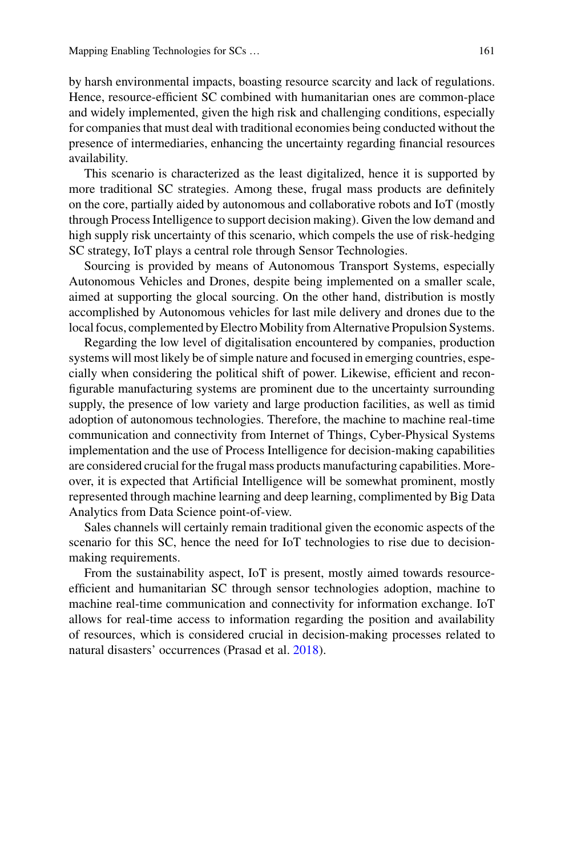by harsh environmental impacts, boasting resource scarcity and lack of regulations. Hence, resource-efficient SC combined with humanitarian ones are common-place and widely implemented, given the high risk and challenging conditions, especially for companies that must deal with traditional economies being conducted without the presence of intermediaries, enhancing the uncertainty regarding financial resources availability.

This scenario is characterized as the least digitalized, hence it is supported by more traditional SC strategies. Among these, frugal mass products are definitely on the core, partially aided by autonomous and collaborative robots and IoT (mostly through Process Intelligence to support decision making). Given the low demand and high supply risk uncertainty of this scenario, which compels the use of risk-hedging SC strategy, IoT plays a central role through Sensor Technologies.

Sourcing is provided by means of Autonomous Transport Systems, especially Autonomous Vehicles and Drones, despite being implemented on a smaller scale, aimed at supporting the glocal sourcing. On the other hand, distribution is mostly accomplished by Autonomous vehicles for last mile delivery and drones due to the local focus, complemented by Electro Mobility from Alternative Propulsion Systems.

Regarding the low level of digitalisation encountered by companies, production systems will most likely be of simple nature and focused in emerging countries, especially when considering the political shift of power. Likewise, efficient and reconfigurable manufacturing systems are prominent due to the uncertainty surrounding supply, the presence of low variety and large production facilities, as well as timid adoption of autonomous technologies. Therefore, the machine to machine real-time communication and connectivity from Internet of Things, Cyber-Physical Systems implementation and the use of Process Intelligence for decision-making capabilities are considered crucial for the frugal mass products manufacturing capabilities. Moreover, it is expected that Artificial Intelligence will be somewhat prominent, mostly represented through machine learning and deep learning, complimented by Big Data Analytics from Data Science point-of-view.

Sales channels will certainly remain traditional given the economic aspects of the scenario for this SC, hence the need for IoT technologies to rise due to decisionmaking requirements.

From the sustainability aspect, IoT is present, mostly aimed towards resourceefficient and humanitarian SC through sensor technologies adoption, machine to machine real-time communication and connectivity for information exchange. IoT allows for real-time access to information regarding the position and availability of resources, which is considered crucial in decision-making processes related to natural disasters' occurrences (Prasad et al. [2018\)](#page-18-13).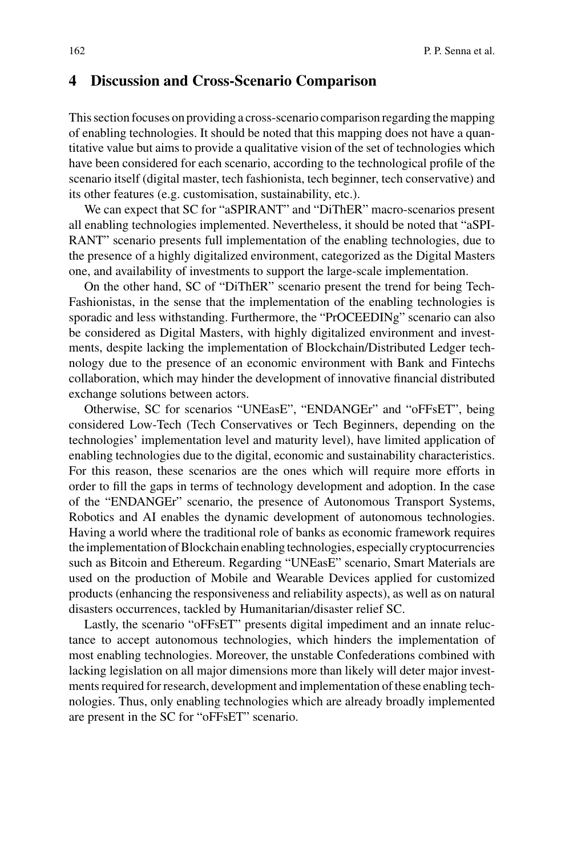#### <span id="page-15-0"></span>**4 Discussion and Cross-Scenario Comparison**

This section focuses on providing a cross-scenario comparison regarding the mapping of enabling technologies. It should be noted that this mapping does not have a quantitative value but aims to provide a qualitative vision of the set of technologies which have been considered for each scenario, according to the technological profile of the scenario itself (digital master, tech fashionista, tech beginner, tech conservative) and its other features (e.g. customisation, sustainability, etc.).

We can expect that SC for "aSPIRANT" and "DiThER" macro-scenarios present all enabling technologies implemented. Nevertheless, it should be noted that "aSPI-RANT" scenario presents full implementation of the enabling technologies, due to the presence of a highly digitalized environment, categorized as the Digital Masters one, and availability of investments to support the large-scale implementation.

On the other hand, SC of "DiThER" scenario present the trend for being Tech-Fashionistas, in the sense that the implementation of the enabling technologies is sporadic and less withstanding. Furthermore, the "PrOCEEDINg" scenario can also be considered as Digital Masters, with highly digitalized environment and investments, despite lacking the implementation of Blockchain/Distributed Ledger technology due to the presence of an economic environment with Bank and Fintechs collaboration, which may hinder the development of innovative financial distributed exchange solutions between actors.

Otherwise, SC for scenarios "UNEasE", "ENDANGEr" and "oFFsET", being considered Low-Tech (Tech Conservatives or Tech Beginners, depending on the technologies' implementation level and maturity level), have limited application of enabling technologies due to the digital, economic and sustainability characteristics. For this reason, these scenarios are the ones which will require more efforts in order to fill the gaps in terms of technology development and adoption. In the case of the "ENDANGEr" scenario, the presence of Autonomous Transport Systems, Robotics and AI enables the dynamic development of autonomous technologies. Having a world where the traditional role of banks as economic framework requires the implementation of Blockchain enabling technologies, especially cryptocurrencies such as Bitcoin and Ethereum. Regarding "UNEasE" scenario, Smart Materials are used on the production of Mobile and Wearable Devices applied for customized products (enhancing the responsiveness and reliability aspects), as well as on natural disasters occurrences, tackled by Humanitarian/disaster relief SC.

Lastly, the scenario "oFFsET" presents digital impediment and an innate reluctance to accept autonomous technologies, which hinders the implementation of most enabling technologies. Moreover, the unstable Confederations combined with lacking legislation on all major dimensions more than likely will deter major investments required for research, development and implementation of these enabling technologies. Thus, only enabling technologies which are already broadly implemented are present in the SC for "oFFsET" scenario.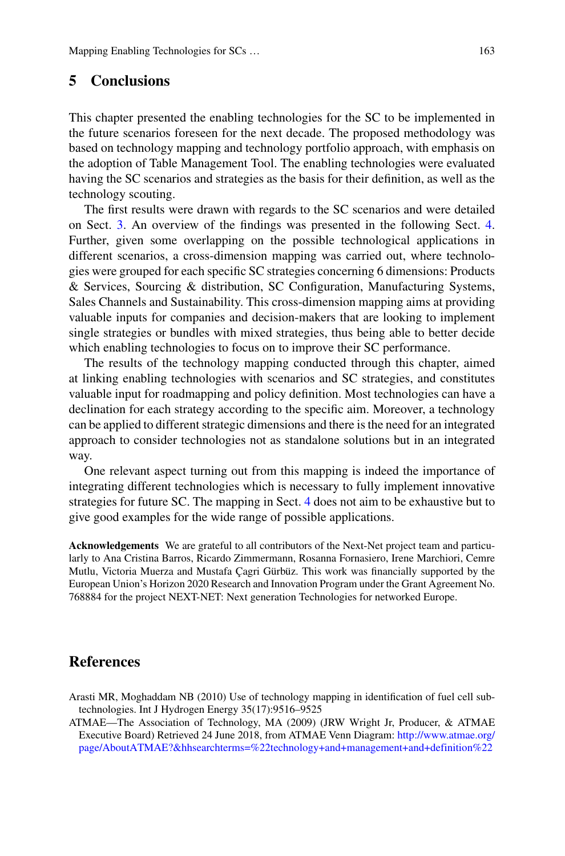## **5 Conclusions**

This chapter presented the enabling technologies for the SC to be implemented in the future scenarios foreseen for the next decade. The proposed methodology was based on technology mapping and technology portfolio approach, with emphasis on the adoption of Table Management Tool. The enabling technologies were evaluated having the SC scenarios and strategies as the basis for their definition, as well as the technology scouting.

The first results were drawn with regards to the SC scenarios and were detailed on Sect. [3.](#page-3-0) An overview of the findings was presented in the following Sect. [4.](#page-5-0) Further, given some overlapping on the possible technological applications in different scenarios, a cross-dimension mapping was carried out, where technologies were grouped for each specific SC strategies concerning 6 dimensions: Products & Services, Sourcing & distribution, SC Configuration, Manufacturing Systems, Sales Channels and Sustainability. This cross-dimension mapping aims at providing valuable inputs for companies and decision-makers that are looking to implement single strategies or bundles with mixed strategies, thus being able to better decide which enabling technologies to focus on to improve their SC performance.

The results of the technology mapping conducted through this chapter, aimed at linking enabling technologies with scenarios and SC strategies, and constitutes valuable input for roadmapping and policy definition. Most technologies can have a declination for each strategy according to the specific aim. Moreover, a technology can be applied to different strategic dimensions and there is the need for an integrated approach to consider technologies not as standalone solutions but in an integrated way.

One relevant aspect turning out from this mapping is indeed the importance of integrating different technologies which is necessary to fully implement innovative strategies for future SC. The mapping in Sect. [4](#page-5-0) does not aim to be exhaustive but to give good examples for the wide range of possible applications.

**Acknowledgements** We are grateful to all contributors of the Next-Net project team and particularly to Ana Cristina Barros, Ricardo Zimmermann, Rosanna Fornasiero, Irene Marchiori, Cemre Mutlu, Victoria Muerza and Mustafa Çagri Gürbüz. This work was financially supported by the European Union's Horizon 2020 Research and Innovation Program under the Grant Agreement No. 768884 for the project NEXT-NET: Next generation Technologies for networked Europe.

### **References**

<span id="page-16-1"></span>Arasti MR, Moghaddam NB (2010) Use of technology mapping in identification of fuel cell subtechnologies. Int J Hydrogen Energy 35(17):9516–9525

<span id="page-16-0"></span>ATMAE—The Association of Technology, MA (2009) (JRW Wright Jr, Producer, & ATMAE Executive Board) Retrieved 24 June 2018, from ATMAE Venn Diagram: http://www.atmae.org/ [page/AboutATMAE?&hhsearchterms=%22technology+and+management+and+definition%22](http://www.atmae.org/page/AboutATMAE%3f%26hhsearchterms%3d%2522technology%2band%2bmanagement%2band%2bdefinition%2522)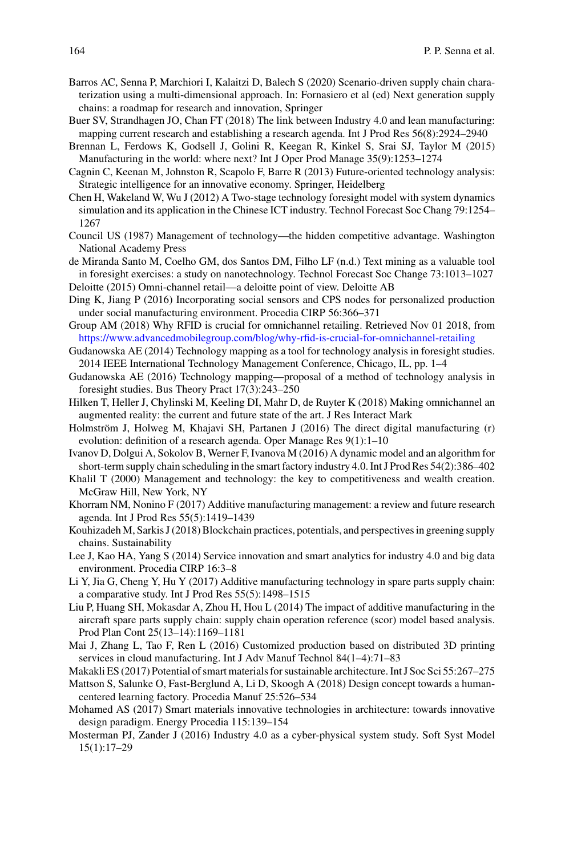- <span id="page-17-15"></span>Barros AC, Senna P, Marchiori I, Kalaitzi D, Balech S (2020) Scenario-driven supply chain charaterization using a multi-dimensional approach. In: Fornasiero et al (ed) Next generation supply chains: a roadmap for research and innovation, Springer
- <span id="page-17-3"></span>Buer SV, Strandhagen JO, Chan FT (2018) The link between Industry 4.0 and lean manufacturing: mapping current research and establishing a research agenda. Int J Prod Res 56(8):2924–2940
- <span id="page-17-7"></span>Brennan L, Ferdows K, Godsell J, Golini R, Keegan R, Kinkel S, Srai SJ, Taylor M (2015) Manufacturing in the world: where next? Int J Oper Prod Manage 35(9):1253–1274
- <span id="page-17-13"></span>Cagnin C, Keenan M, Johnston R, Scapolo F, Barre R (2013) Future-oriented technology analysis: Strategic intelligence for an innovative economy. Springer, Heidelberg
- <span id="page-17-10"></span>Chen H, Wakeland W, Wu J (2012) A Two-stage technology foresight model with system dynamics simulation and its application in the Chinese ICT industry. Technol Forecast Soc Chang 79:1254– 1267
- <span id="page-17-9"></span>Council US (1987) Management of technology—the hidden competitive advantage. Washington National Academy Press
- de Miranda Santo M, Coelho GM, dos Santos DM, Filho LF (n.d.) Text mining as a valuable tool in foresight exercises: a study on nanotechnology. Technol Forecast Soc Change 73:1013–1027 Deloitte (2015) Omni-channel retail—a deloitte point of view. Deloitte AB
- <span id="page-17-23"></span><span id="page-17-16"></span>Ding K, Jiang P (2016) Incorporating social sensors and CPS nodes for personalized production under social manufacturing environment. Procedia CIRP 56:366–371
- <span id="page-17-22"></span>Group AM (2018) Why RFID is crucial for omnichannel retailing. Retrieved Nov 01 2018, from <https://www.advancedmobilegroup.com/blog/why-rfid-is-crucial-for-omnichannel-retailing>
- <span id="page-17-12"></span>Gudanowska AE (2014) Technology mapping as a tool for technology analysis in foresight studies. 2014 IEEE International Technology Management Conference, Chicago, IL, pp. 1–4
- <span id="page-17-11"></span>Gudanowska AE (2016) Technology mapping—proposal of a method of technology analysis in foresight studies. Bus Theory Pract 17(3):243–250
- <span id="page-17-17"></span>Hilken T, Heller J, Chylinski M, Keeling DI, Mahr D, de Ruyter K (2018) Making omnichannel an augmented reality: the current and future state of the art. J Res Interact Mark
- <span id="page-17-8"></span>Holmström J, Holweg M, Khajavi SH, Partanen J (2016) The direct digital manufacturing (r) evolution: definition of a research agenda. Oper Manage Res 9(1):1–10
- <span id="page-17-6"></span>Ivanov D, Dolgui A, Sokolov B, Werner F, Ivanova M (2016) A dynamic model and an algorithm for short-term supply chain scheduling in the smart factory industry 4.0. Int J Prod Res 54(2):386–402
- <span id="page-17-14"></span>Khalil T (2000) Management and technology: the key to competitiveness and wealth creation. McGraw Hill, New York, NY
- <span id="page-17-2"></span>Khorram NM, Nonino F (2017) Additive manufacturing management: a review and future research agenda. Int J Prod Res 55(5):1419–1439
- <span id="page-17-20"></span>Kouhizadeh M, Sarkis J (2018) Blockchain practices, potentials, and perspectives in greening supply chains. Sustainability
- <span id="page-17-0"></span>Lee J, Kao HA, Yang S (2014) Service innovation and smart analytics for industry 4.0 and big data environment. Procedia CIRP 16:3–8
- <span id="page-17-5"></span>Li Y, Jia G, Cheng Y, Hu Y (2017) Additive manufacturing technology in spare parts supply chain: a comparative study. Int J Prod Res 55(5):1498–1515
- <span id="page-17-4"></span>Liu P, Huang SH, Mokasdar A, Zhou H, Hou L (2014) The impact of additive manufacturing in the aircraft spare parts supply chain: supply chain operation reference (scor) model based analysis. Prod Plan Cont 25(13–14):1169–1181
- <span id="page-17-24"></span>Mai J, Zhang L, Tao F, Ren L (2016) Customized production based on distributed 3D printing services in cloud manufacturing. Int J Adv Manuf Technol 84(1–4):71–83
- <span id="page-17-19"></span>Makakli ES (2017) Potential of smart materials for sustainable architecture. Int J Soc Sci 55:267–275
- <span id="page-17-21"></span>Mattson S, Salunke O, Fast-Berglund A, Li D, Skoogh A (2018) Design concept towards a humancentered learning factory. Procedia Manuf 25:526–534
- <span id="page-17-18"></span>Mohamed AS (2017) Smart materials innovative technologies in architecture: towards innovative design paradigm. Energy Procedia 115:139–154
- <span id="page-17-1"></span>Mosterman PJ, Zander J (2016) Industry 4.0 as a cyber-physical system study. Soft Syst Model 15(1):17–29